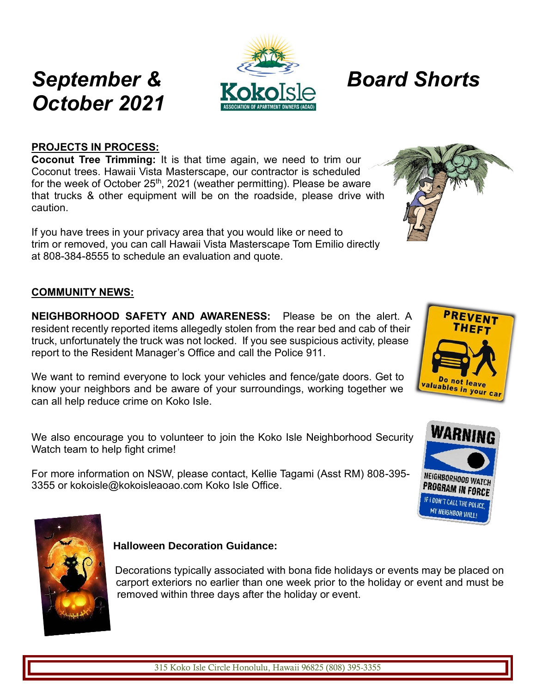### **PROJECTS IN PROCESS:**

**Coconut Tree Trimming:** It is that time again, we need to trim our Coconut trees. Hawaii Vista Masterscape, our contractor is scheduled for the week of October  $25<sup>th</sup>$ , 2021 (weather permitting). Please be aware that trucks & other equipment will be on the roadside, please drive with caution.

If you have trees in your privacy area that you would like or need to trim or removed, you can call Hawaii Vista Masterscape Tom Emilio directly at 808-384-8555 to schedule an evaluation and quote.

#### **COMMUNITY NEWS:**

**NEIGHBORHOOD SAFETY AND AWARENESS:** Please be on the alert. A resident recently reported items allegedly stolen from the rear bed and cab of their truck, unfortunately the truck was not locked. If you see suspicious activity, please report to the Resident Manager's Office and call the Police 911.

We want to remind everyone to lock your vehicles and fence/gate doors. Get to know your neighbors and be aware of your surroundings, working together we can all help reduce crime on Koko Isle.

We also encourage you to volunteer to join the Koko Isle Neighborhood Security Watch team to help fight crime!

For more information on NSW, please contact, Kellie Tagami (Asst RM) 808-395- 3355 or kokoisle@kokoisleaoao.com Koko Isle Office.

#### **Halloween Decoration Guidance:**

Decorations typically associated with bona fide holidays or events may be placed on carport exteriors no earlier than one week prior to the holiday or event and must be removed within three days after the holiday or event.







NEIGHBORHOOD WA **PROGRAM IN FORCE** IF I DON'T CALL THE POLICE, MY NEIGHBOR WILL!





# *September & Board Shorts*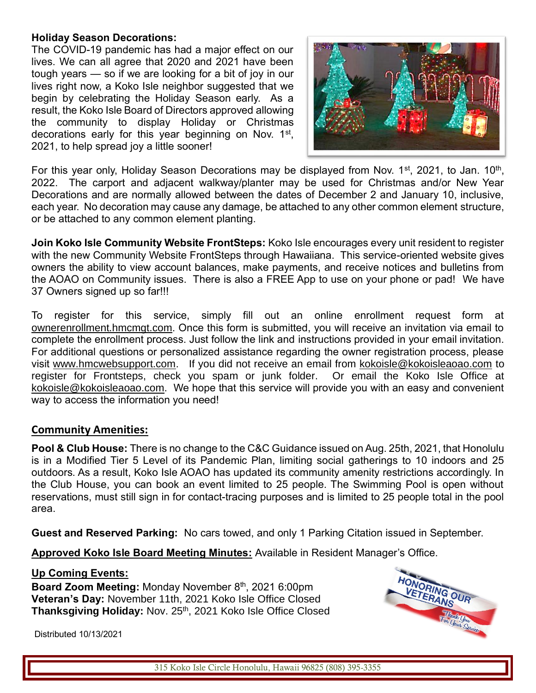#### **Holiday Season Decorations:**

The COVID-19 pandemic has had a major effect on our lives. We can all agree that 2020 and 2021 have been tough years — so if we are looking for a bit of joy in our lives right now, a Koko Isle neighbor suggested that we begin by celebrating the Holiday Season early. As a result, the Koko Isle Board of Directors approved allowing the community to display Holiday or Christmas decorations early for this year beginning on Nov. 1<sup>st</sup>, 2021, to help spread joy a little sooner!



For this year only, Holiday Season Decorations may be displayed from Nov. 1<sup>st</sup>, 2021, to Jan. 10<sup>th</sup>, 2022. The carport and adjacent walkway/planter may be used for Christmas and/or New Year Decorations and are normally allowed between the dates of December 2 and January 10, inclusive, each year. No decoration may cause any damage, be attached to any other common element structure, or be attached to any common element planting.

**Join Koko Isle Community Website FrontSteps:** Koko Isle encourages every unit resident to register with the new Community Website FrontSteps through Hawaiiana. This service-oriented website gives owners the ability to view account balances, make payments, and receive notices and bulletins from the AOAO on Community issues. There is also a FREE App to use on your phone or pad! We have 37 Owners signed up so far!!!

To register for this service, simply fill out an online enrollment request form at ownerenrollment.hmcmgt.com. Once this form is submitted, you will receive an invitation via email to complete the enrollment process. Just follow the link and instructions provided in your email invitation. For additional questions or personalized assistance regarding the owner registration process, please visit www.hmcwebsupport.com. If you did not receive an email from [kokoisle@kokoisleaoao.com](mailto:kokoisle@kokoisleaoao.com) to register for Frontsteps, check you spam or junk folder. Or email the Koko Isle Office at [kokoisle@kokoisleaoao.com.](mailto:kokoisle@kokoisleaoao.com) We hope that this service will provide you with an easy and convenient way to access the information you need!

#### **Community Amenities:**

**Pool & Club House:** There is no change to the C&C Guidance issued on Aug. 25th, 2021, that Honolulu is in a Modified Tier 5 Level of its Pandemic Plan, limiting social gatherings to 10 indoors and 25 outdoors. As a result, Koko Isle AOAO has updated its community amenity restrictions accordingly. In the Club House, you can book an event limited to 25 people. The Swimming Pool is open without reservations, must still sign in for contact-tracing purposes and is limited to 25 people total in the pool area.

**Guest and Reserved Parking:** No cars towed, and only 1 Parking Citation issued in September.

**Approved Koko Isle Board Meeting Minutes:** Available in Resident Manager's Office.

#### **Up Coming Events:**

Board Zoom Meeting: Monday November 8<sup>th</sup>, 2021 6:00pm **Veteran's Day:** November 11th, 2021 Koko Isle Office Closed Thanksgiving Holiday: Nov. 25<sup>th</sup>, 2021 Koko Isle Office Closed



Distributed 10/13/2021

315 Koko Isle Circle Honolulu, Hawaii 96825 (808) 395-3355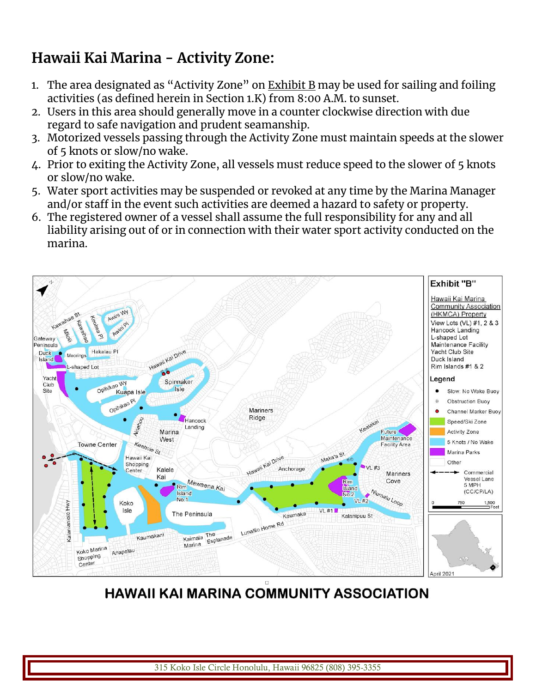# **Hawaii Kai Marina - Activity Zone:**

- 1. The area designated as "Activity Zone" on  $\underline{\text{Exhibit B}}$  $\underline{\text{Exhibit B}}$  $\underline{\text{Exhibit B}}$  may be used for sailing and foiling activities (as defined herein in Section 1.K) from 8:00 A.M. to sunset.
- 2. Users in this area should generally move in a counter clockwise direction with due regard to safe navigation and prudent seamanship.
- 3. Motorized vessels passing through the Activity Zone must maintain speeds at the slower of 5 knots or slow/no wake.
- 4. Prior to exiting the Activity Zone, all vessels must reduce speed to the slower of 5 knots or slow/no wake.
- 5. Water sport activities may be suspended or revoked at any time by the Marina Manager and/or staff in the event such activities are deemed a hazard to safety or property.
- 6. The registered owner of a vessel shall assume the full responsibility for any and all liability arising out of or in connection with their water sport activity conducted on the marina.



**HAWAII KAI MARINA COMMUNITY ASSOCIATION** 

315 Koko Isle Circle Honolulu, Hawaii 96825 (808) 395-3355